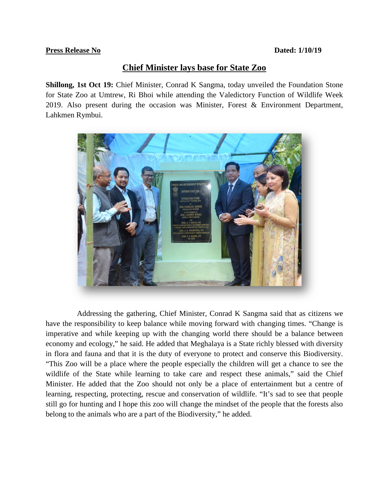## **Press Release No Dated: 1/10/19**

## **Chief Minister lays base for State Zoo**

**Shillong, 1st Oct 19:** Chief Minister, Conrad K Sangma, today unveiled the Foundation Stone for State Zoo at Umtrew, Ri Bhoi while attending the Valedictory Function of Wildlife Week 2019. Also present during the occasion was Minister, Forest & Environment Department, Lahkmen Rymbui.



 Addressing the gathering, Chief Minister, Conrad K Sangma said that as citizens we have the responsibility to keep balance while moving forward with changing times. "Change is imperative and while keeping up with the changing world there should be a balance between economy and ecology," he said. He added that Meghalaya is a State richly blessed with diversity in flora and fauna and that it is the duty of everyone to protect and conserve this Biodiversity. "This Zoo will be a place where the people especially the children will get a chance to see the wildlife of the State while learning to take care and respect these animals," said the Chief Minister. He added that the Zoo should not only be a place of entertainment but a centre of learning, respecting, protecting, rescue and conservation of wildlife. "It's sad to see that people still go for hunting and I hope this zoo will change the mindset of the people that the forests also belong to the animals who are a part of the Biodiversity," he added.